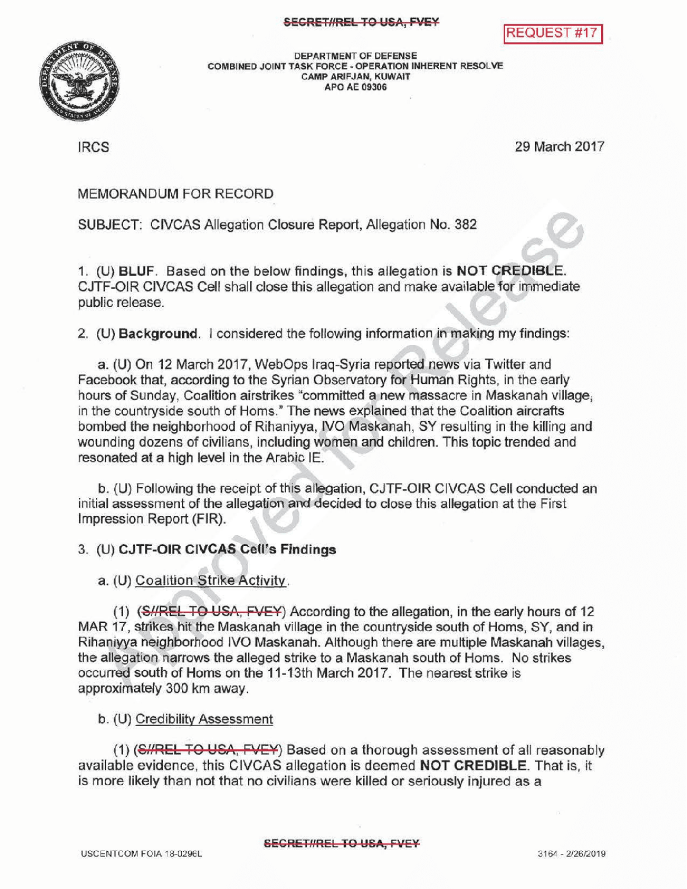



DEPARTMENTOF DEFENSE COMBINED JOINT TASK FORCE - OPERATION INHERENT RESOLVE CAMPARIFJAN, KUWAIT APOAE09306

IRCS 29 March 2017

## MEMORANDUMFOR RECORD

SUBJECT: CIVCAS Allegation Closure Report, Allegation No. 382

1. (U) BLUF. Based on the below findings, this allegation is NOT CREDIBLE. CJTF-OIR CIVCAS Cell shall close this allegation and make available for immediate public release.

2. (U) Background. I considered the following information in making my findings:

a. (U) On 12 March 2017, WebOps Iraq-Syria reported news via Twitter and Facebook that, according to the Syrian Observatory for Human Rights, in the early hours of Sunday, Coalition airstrikes "committed a new massacre in Maskanah village, in the countryside south of Homs." The news explained that the Coalition aircrafts bombed the neighborhood of Rihaniyya, IVO Maskanah, SY resulting in the killing and wounding dozens of civilians, including women and children. This topic trended and resonated at a high level in the Arabic IE.

b. (U) Following the receipt of this allegation, CJTF-OIR CIVCAS Cell conducted an initial assessment of the allegation and decided to close this allegation at the First Impression Report (FIR) .

## 3. (U) CJTF-OIR CIVCAS Cell's Findings

a. (U) Coalition Strike Activity.

(1) (SHREL TO USA, FVEY) According to the allegation, in the early hours of 12 MAR 17, strikes hit the Maskanah village in the countryside south of Homs, SY, and in Rihaniyya neighborhood IVO Maskanah. Although there are multiple Maskanah villages, the allegation narrows the alleged strike to a Maskanah south of Homs. No strikes occurred south of Homs on the 11-13th March 2017. The nearest strike is approximately 300 km away.

b. (U) Credibility Assessment

(1) (S//REL TO USA, FVEY) Based on a thorough assessment of all reasonably available evidence, this CIVCAS allegation is deemed NOT CREDIBLE. That is, it is more likely than not that no civilians were killed or seriously injured as a